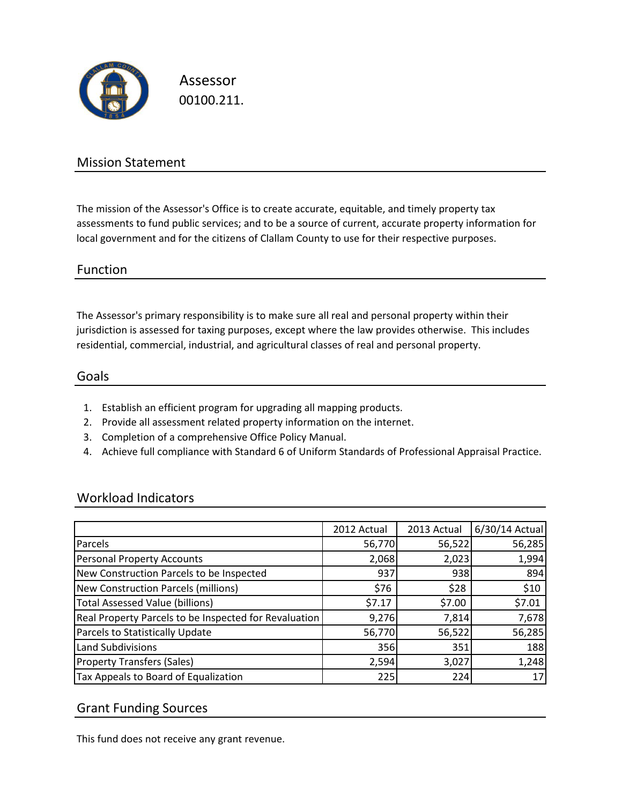

Assessor 00100.211.

## Mission Statement

The mission of the Assessor's Office is to create accurate, equitable, and timely property tax assessments to fund public services; and to be a source of current, accurate property information for local government and for the citizens of Clallam County to use for their respective purposes.

#### Function

The Assessor's primary responsibility is to make sure all real and personal property within their jurisdiction is assessed for taxing purposes, except where the law provides otherwise. This includes residential, commercial, industrial, and agricultural classes of real and personal property.

#### Goals

- 1. Establish an efficient program for upgrading all mapping products.
- 2. Provide all assessment related property information on the internet.
- 3. Completion of a comprehensive Office Policy Manual.
- 4. Achieve full compliance with Standard 6 of Uniform Standards of Professional Appraisal Practice.

### Workload Indicators

|                                                       | 2012 Actual | 2013 Actual | 6/30/14 Actual |
|-------------------------------------------------------|-------------|-------------|----------------|
| Parcels                                               | 56,770      | 56,522      | 56,285         |
| <b>Personal Property Accounts</b>                     | 2,068       | 2,023       | 1,994          |
| New Construction Parcels to be Inspected              | 937         | 938         | 894            |
| <b>New Construction Parcels (millions)</b>            | \$76        | \$28        | \$10           |
| <b>Total Assessed Value (billions)</b>                | \$7.17      | \$7.00      | \$7.01         |
| Real Property Parcels to be Inspected for Revaluation | 9,276       | 7,814       | 7,678          |
| Parcels to Statistically Update                       | 56,770      | 56,522      | 56,285         |
| <b>Land Subdivisions</b>                              | 356         | 351         | 188            |
| <b>Property Transfers (Sales)</b>                     | 2,594       | 3,027       | 1,248          |
| Tax Appeals to Board of Equalization                  | 225         | 224         | 17             |

### Grant Funding Sources

This fund does not receive any grant revenue.